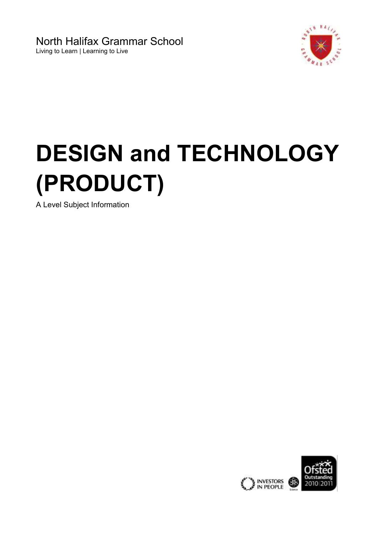North Halifax Grammar School Living to Learn | Learning to Live



# **DESIGN and TECHNOLOGY (PRODUCT)**

A Level Subject Information

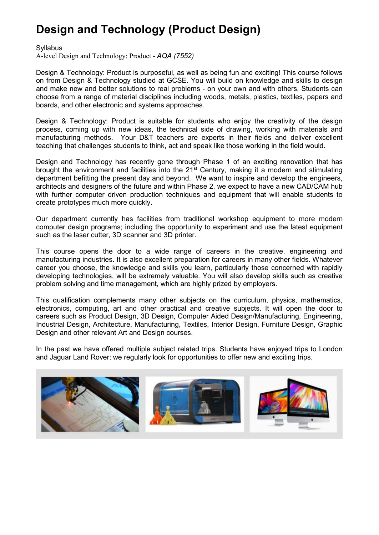## **Design and Technology (Product Design)**

**Syllabus** 

[A-level Design and Technology: Product](http://www.aqa.org.uk/subjects/design-and-technology/as-and-a-level/design-and-technology-product-design-7552) - *AQA (7552)*

Design & Technology: Product is purposeful, as well as being fun and exciting! This course follows on from Design & Technology studied at GCSE. You will build on knowledge and skills to design and make new and better solutions to real problems - on your own and with others. Students can choose from a range of material disciplines including woods, metals, plastics, textiles, papers and boards, and other electronic and systems approaches.

Design & Technology: Product is suitable for students who enjoy the creativity of the design process, coming up with new ideas, the technical side of drawing, working with materials and manufacturing methods. Your D&T teachers are experts in their fields and deliver excellent teaching that challenges students to think, act and speak like those working in the field would.

Design and Technology has recently gone through Phase 1 of an exciting renovation that has brought the environment and facilities into the 21<sup>st</sup> Century, making it a modern and stimulating department befitting the present day and beyond. We want to inspire and develop the engineers, architects and designers of the future and within Phase 2, we expect to have a new CAD/CAM hub with further computer driven production techniques and equipment that will enable students to create prototypes much more quickly.

Our department currently has facilities from traditional workshop equipment to more modern computer design programs; including the opportunity to experiment and use the latest equipment such as the laser cutter, 3D scanner and 3D printer.

This course opens the door to a wide range of careers in the creative, engineering and manufacturing industries. It is also excellent preparation for careers in many other fields. Whatever career you choose, the knowledge and skills you learn, particularly those concerned with rapidly developing technologies, will be extremely valuable. You will also develop skills such as creative problem solving and time management, which are highly prized by employers.

This qualification complements many other subjects on the curriculum, physics, mathematics, electronics, computing, art and other practical and creative subjects. It will open the door to careers such as Product Design, 3D Design, Computer Aided Design/Manufacturing, Engineering, Industrial Design, Architecture, Manufacturing, Textiles, Interior Design, Furniture Design, Graphic Design and other relevant Art and Design courses.

In the past we have offered multiple subject related trips. Students have enjoyed trips to London and Jaguar Land Rover; we regularly look for opportunities to offer new and exciting trips.

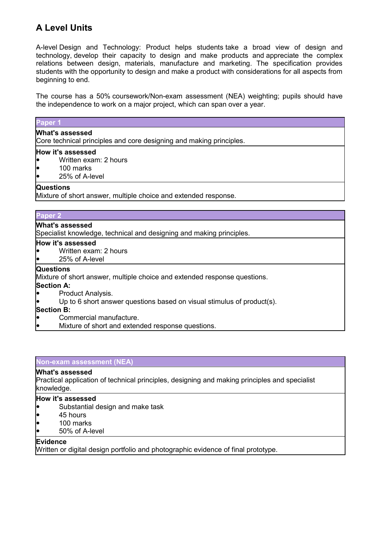### **A Level Units**

A-level Design and Technology: Product helps students take a broad view of design and technology, develop their capacity to design and make products and appreciate the complex relations between design, materials, manufacture and marketing. The specification provides students with the opportunity to design and make a product with considerations for all aspects from beginning to end.

The course has a 50% coursework/Non-exam assessment (NEA) weighting; pupils should have the independence to work on a major project, which can span over a year.

| Paper 1                                                                                                                                                                                                           |
|-------------------------------------------------------------------------------------------------------------------------------------------------------------------------------------------------------------------|
| <b>What's assessed</b><br>Core technical principles and core designing and making principles.                                                                                                                     |
| How it's assessed<br>Written exam: 2 hours<br>100 marks<br>l•<br>25% of A-level<br>lo                                                                                                                             |
| <b>Questions</b><br>Mixture of short answer, multiple choice and extended response.                                                                                                                               |
| Paper <sub>2</sub>                                                                                                                                                                                                |
| <b>What's assessed</b><br>Specialist knowledge, technical and designing and making principles.<br>How it's assessed<br>Written exam: 2 hours                                                                      |
| 25% of A-level                                                                                                                                                                                                    |
| <b>Questions</b><br>Mixture of short answer, multiple choice and extended response questions.<br><b>Section A:</b><br>Product Analysis.<br>Up to 6 short answer questions based on visual stimulus of product(s). |
| <b>Section B:</b>                                                                                                                                                                                                 |

Commercial manufacture.

Mixture of short and extended response questions.

#### **Non-exam assessment (NEA)**

#### **What's assessed**

Practical application of technical principles, designing and making principles and specialist knowledge.

#### **How it's assessed**

- Substantial design and make task
- 45 hours
- 100 marks
- 50% of A-level

#### **Evidence**

Written or digital design portfolio and photographic evidence of final prototype.